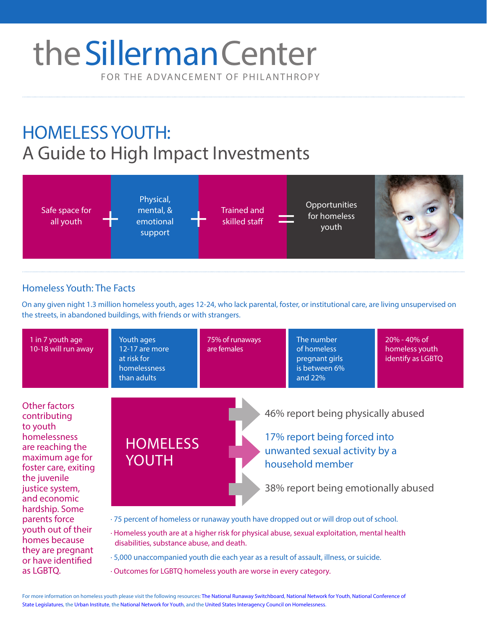# FOR THE ADVANCEMENT OF PHILANTHROPY theSillerman Center

# HOMELESS YOUTH: A Guide to High Impact Investments



## Homeless Youth: The Facts

as LGBTQ.

On any given night 1.3 million homeless youth, ages 12-24, who lack parental, foster, or institutional care, are living unsupervised on the streets, in abandoned buildings, with friends or with strangers.



· Outcomes for LGBTQ homeless youth are worse in every category.

For more information on homeless youth please visit the following resources: [The National Runaway Switchboard](http://www.1800runaway.org/), [National Network for Youth](https://www.nn4youth.org/wp-content/uploads/Homeless-Youth-in-America-Who-Are-They.pdf), National Conference of State Legislature[s, the Urban Ins](http://www.urban.org/sites/default/files/alfresco/publication-pdfs/413209-Homeless-LGBTQ-Youth.PDF)titut[e, the National Network for Y](https://www.nn4youth.org/wp-content/uploads/Homeless-Youth-in-America-Who-Are-They.pdf)outh, a[nd the United States Interagency Council on Homeles](http://usich.gov/issue/lgbt_youth/lgbtq_youth_homelessness_in_focus/)sness.